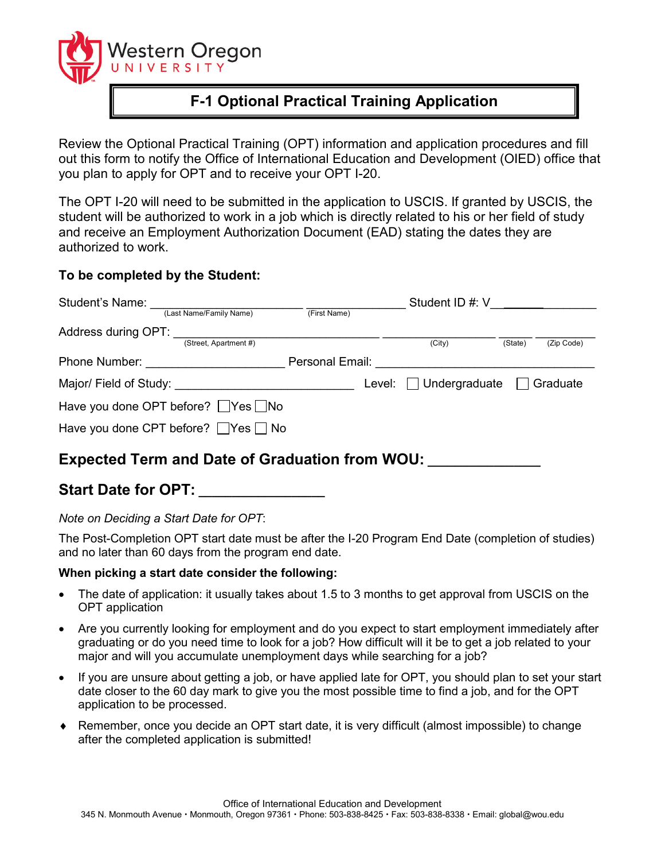

# **F-1 Optional Practical Training Application**

Review the Optional Practical Training (OPT) information and application procedures and fill out this form to notify the Office of International Education and Development (OIED) office that you plan to apply for OPT and to receive your OPT I-20.

The OPT I-20 will need to be submitted in the application to USCIS. If granted by USCIS, the student will be authorized to work in a job which is directly related to his or her field of study and receive an Employment Authorization Document (EAD) stating the dates they are authorized to work.

### **To be completed by the Student:**

| Student's Name:                                              |                                                |                 |        | Student ID #: V      |         |            |
|--------------------------------------------------------------|------------------------------------------------|-----------------|--------|----------------------|---------|------------|
|                                                              | (Last Name/Family Name)                        | (First Name)    |        |                      |         |            |
| Address during OPT:                                          |                                                |                 |        |                      |         |            |
|                                                              | (Street, Apartment #)                          |                 |        | (City)               | (State) | (Zip Code) |
| Phone Number:                                                |                                                | Personal Email: |        |                      |         |            |
| Major/ Field of Study: <u>contained a material contained</u> |                                                |                 | Level: | $\Box$ Undergraduate |         | Graduate   |
| Have you done OPT before? Yes No                             |                                                |                 |        |                      |         |            |
|                                                              | Have you done CPT before? $\Box$ Yes $\Box$ No |                 |        |                      |         |            |

## **Expected Term and Date of Graduation from WOU:**

**Start Date for OPT: \_\_\_\_\_\_\_\_\_\_\_\_\_\_\_\_\_\_\_**

*Note on Deciding a Start Date for OPT*:

The Post-Completion OPT start date must be after the I-20 Program End Date (completion of studies) and no later than 60 days from the program end date.

#### **When picking a start date consider the following:**

- The date of application: it usually takes about 1.5 to 3 months to get approval from USCIS on the OPT application
- Are you currently looking for employment and do you expect to start employment immediately after graduating or do you need time to look for a job? How difficult will it be to get a job related to your major and will you accumulate unemployment days while searching for a job?
- If you are unsure about getting a job, or have applied late for OPT, you should plan to set your start date closer to the 60 day mark to give you the most possible time to find a job, and for the OPT application to be processed.
- Remember, once you decide an OPT start date, it is very difficult (almost impossible) to change after the completed application is submitted!